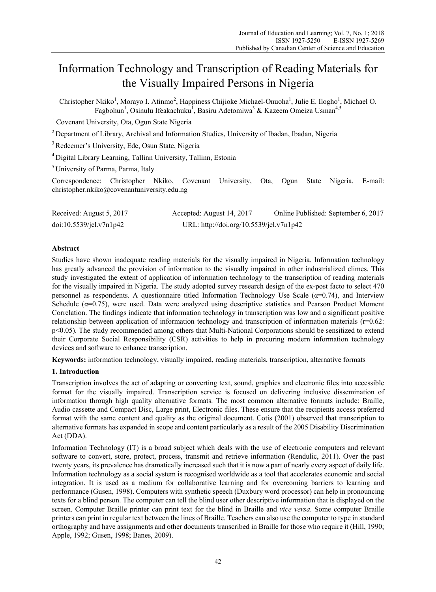# Information Technology and Transcription of Reading Materials for the Visually Impaired Persons in Nigeria

Christopher Nkiko<sup>1</sup>, Morayo I. Atinmo<sup>2</sup>, Happiness Chijioke Michael-Onuoha<sup>1</sup>, Julie E. Ilogho<sup>1</sup>, Michael O. Fagbohun<sup>1</sup>, Osinulu Ifeakachuku<sup>1</sup>, Basiru Adetomiwa<sup>3</sup> & Kazeem Omeiza Usman<sup>4,5</sup>

<sup>1</sup> Covenant University, Ota, Ogun State Nigeria

<sup>2</sup> Department of Library, Archival and Information Studies, University of Ibadan, Ibadan, Nigeria

3 Redeemer's University, Ede, Osun State, Nigeria

4 Digital Library Learning, Tallinn University, Tallinn, Estonia

5 University of Parma, Parma, Italy

Correspondence: Christopher Nkiko, Covenant University, Ota, Ogun State Nigeria. E-mail: christopher.nkiko@covenantuniversity.edu.ng

| Received: August 5, 2017 | Accepted: August 14, 2017               | Online Published: September 6, 2017 |
|--------------------------|-----------------------------------------|-------------------------------------|
| doi:10.5539/jel.v7n1p42  | URL: http://doi.org/10.5539/jel.v7n1p42 |                                     |

# **Abstract**

Studies have shown inadequate reading materials for the visually impaired in Nigeria. Information technology has greatly advanced the provision of information to the visually impaired in other industrialized climes. This study investigated the extent of application of information technology to the transcription of reading materials for the visually impaired in Nigeria. The study adopted survey research design of the ex-post facto to select 470 personnel as respondents. A questionnaire titled Information Technology Use Scale ( $\alpha$ =0.74), and Interview Schedule ( $\alpha$ =0.75), were used. Data were analyzed using descriptive statistics and Pearson Product Moment Correlation. The findings indicate that information technology in transcription was low and a significant positive relationship between application of information technology and transcription of information materials (r=0.62: p<0.05). The study recommended among others that Multi-National Corporations should be sensitized to extend their Corporate Social Responsibility (CSR) activities to help in procuring modern information technology devices and software to enhance transcription.

**Keywords:** information technology, visually impaired, reading materials, transcription, alternative formats

## **1. Introduction**

Transcription involves the act of adapting or converting text, sound, graphics and electronic files into accessible format for the visually impaired. Transcription service is focused on delivering inclusive dissemination of information through high quality alternative formats. The most common alternative formats include: Braille, Audio cassette and Compact Disc, Large print, Electronic files. These ensure that the recipients access preferred format with the same content and quality as the original document. Cotis (2001) observed that transcription to alternative formats has expanded in scope and content particularly as a result of the 2005 Disability Discrimination Act (DDA).

Information Technology (IT) is a broad subject which deals with the use of electronic computers and relevant software to convert, store, protect, process, transmit and retrieve information (Rendulic, 2011). Over the past twenty years, its prevalence has dramatically increased such that it is now a part of nearly every aspect of daily life. Information technology as a social system is recognised worldwide as a tool that accelerates economic and social integration. It is used as a medium for collaborative learning and for overcoming barriers to learning and performance (Gusen, 1998). Computers with synthetic speech (Duxbury word processor) can help in pronouncing texts for a blind person. The computer can tell the blind user other descriptive information that is displayed on the screen. Computer Braille printer can print text for the blind in Braille and *vice versa*. Some computer Braille printers can print in regular text between the lines of Braille. Teachers can also use the computer to type in standard orthography and have assignments and other documents transcribed in Braille for those who require it (Hill, 1990; Apple, 1992; Gusen, 1998; Banes, 2009).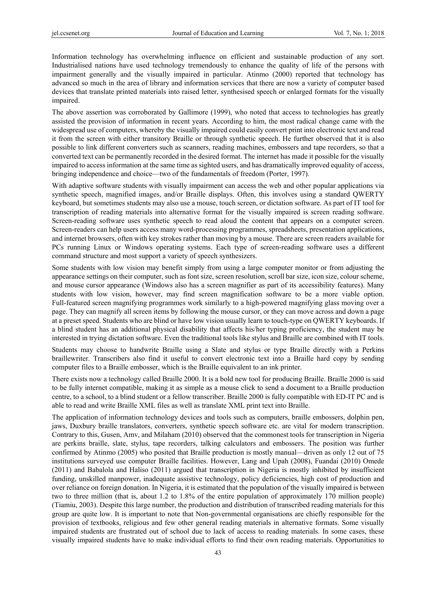Information technology has overwhelming influence on efficient and sustainable production of any sort. Industrialised nations have used technology tremendously to enhance the quality of life of the persons with impairment generally and the visually impaired in particular. Atinmo (2000) reported that technology has advanced so much in the area of library and information services that there are now a variety of computer based devices that translate printed materials into raised letter, synthesised speech or enlarged formats for the visually impaired.

The above assertion was corroborated by Gallimore (1999), who noted that access to technologies has greatly assisted the provision of information in recent years. According to him, the most radical change came with the widespread use of computers, whereby the visually impaired could easily convert print into electronic text and read it from the screen with either transitory Braille or through synthetic speech. He further observed that it is also possible to link different converters such as scanners, reading machines, embossers and tape recorders, so that a converted text can be permanently recorded in the desired format. The internet has made it possible for the visually impaired to access information at the same time as sighted users, and has dramatically improved equality of access, bringing independence and choice—two of the fundamentals of freedom (Porter, 1997).

With adaptive software students with visually impairment can access the web and other popular applications via synthetic speech, magnified images, and/or Braille displays. Often, this involves using a standard QWERTY keyboard, but sometimes students may also use a mouse, touch screen, or dictation software. As part of IT tool for transcription of reading materials into alternative format for the visually impaired is screen reading software. Screen-reading software uses synthetic speech to read aloud the content that appears on a computer screen. Screen-readers can help users access many word-processing programmes, spreadsheets, presentation applications, and internet browsers, often with key strokes rather than moving by a mouse. There are screen readers available for PCs running Linux or Windows operating systems. Each type of screen-reading software uses a different command structure and most support a variety of speech synthesizers.

Some students with low vision may benefit simply from using a large computer monitor or from adjusting the appearance settings on their computer, such as font size, screen resolution, scroll bar size, icon size, colour scheme, and mouse cursor appearance (Windows also has a screen magnifier as part of its accessibility features). Many students with low vision, however, may find screen magnification software to be a more viable option. Full-featured screen magnifying programmes work similarly to a high-powered magnifying glass moving over a page. They can magnify all screen items by following the mouse cursor, or they can move across and down a page at a preset speed. Students who are blind or have low vision usually learn to touch-type on QWERTY keyboards. If a blind student has an additional physical disability that affects his/her typing proficiency, the student may be interested in trying dictation software. Even the traditional tools like stylus and Braille are combined with IT tools.

Students may choose to handwrite Braille using a Slate and stylus or type Braille directly with a Perkins braillewriter. Transcribers also find it useful to convert electronic text into a Braille hard copy by sending computer files to a Braille embosser, which is the Braille equivalent to an ink printer.

There exists now a technology called Braille 2000. It is a bold new tool for producing Braille. Braille 2000 is said to be fully internet compatible, making it as simple as a mouse click to send a document to a Braille production centre, to a school, to a blind student or a fellow transcriber. Braille 2000 is fully compatible with ED-IT PC and is able to read and write Braille XML files as well as translate XML print text into Braille.

The application of information technology devices and tools such as computers, braille embossers, dolphin pen, jaws, Duxbury braille translators, converters, synthetic speech software etc. are vital for modern transcription. Contrary to this, Gusen, Amv, and Milaham (2010) observed that the commonest tools for transcription in Nigeria are perkins braille, slate, stylus, tape recorders, talking calculators and embossers. The position was further confirmed by Atinmo (2005) who posited that Braille production is mostly manual—driven as only 12 out of 75 institutions surveyed use computer Braille facilities. However, Lang and Upah (2008), Fuandai (2010) Omede (2011) and Babalola and Haliso (2011) argued that transcription in Nigeria is mostly inhibited by insufficient funding, unskilled manpower, inadequate assistive technology, policy deficiencies, high cost of production and over reliance on foreign donation. In Nigeria, it is estimated that the population of the visually impaired is between two to three million (that is, about 1.2 to 1.8% of the entire population of approximately 170 million people) (Tiamiu, 2003). Despite this large number, the production and distribution of transcribed reading materials for this group are quite low. It is important to note that Non-governmental organisations are chiefly responsible for the provision of textbooks, religious and few other general reading materials in alternative formats. Some visually impaired students are frustrated out of school due to lack of access to reading materials. In some cases, these visually impaired students have to make individual efforts to find their own reading materials. Opportunities to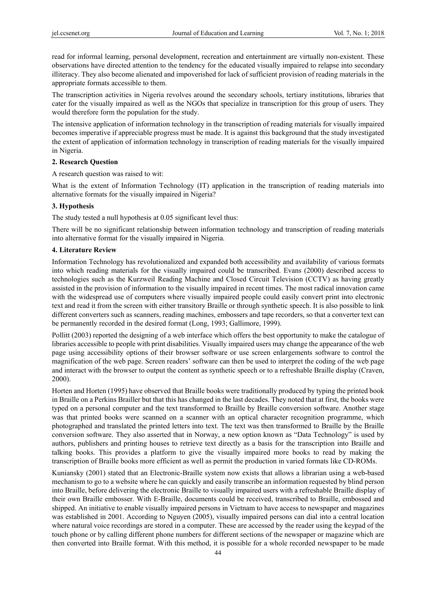read for informal learning, personal development, recreation and entertainment are virtually non-existent. These observations have directed attention to the tendency for the educated visually impaired to relapse into secondary illiteracy. They also become alienated and impoverished for lack of sufficient provision of reading materials in the appropriate formats accessible to them.

The transcription activities in Nigeria revolves around the secondary schools, tertiary institutions, libraries that cater for the visually impaired as well as the NGOs that specialize in transcription for this group of users. They would therefore form the population for the study.

The intensive application of information technology in the transcription of reading materials for visually impaired becomes imperative if appreciable progress must be made. It is against this background that the study investigated the extent of application of information technology in transcription of reading materials for the visually impaired in Nigeria.

## **2. Research Question**

A research question was raised to wit:

What is the extent of Information Technology (IT) application in the transcription of reading materials into alternative formats for the visually impaired in Nigeria?

## **3. Hypothesis**

The study tested a null hypothesis at 0.05 significant level thus:

There will be no significant relationship between information technology and transcription of reading materials into alternative format for the visually impaired in Nigeria.

## **4. Literature Review**

Information Technology has revolutionalized and expanded both accessibility and availability of various formats into which reading materials for the visually impaired could be transcribed. Evans (2000) described access to technologies such as the Kurzweil Reading Machine and Closed Circuit Television (CCTV) as having greatly assisted in the provision of information to the visually impaired in recent times. The most radical innovation came with the widespread use of computers where visually impaired people could easily convert print into electronic text and read it from the screen with either transitory Braille or through synthetic speech. It is also possible to link different converters such as scanners, reading machines, embossers and tape recorders, so that a converter text can be permanently recorded in the desired format (Long, 1993; Gallimore, 1999).

Pollitt (2003) reported the designing of a web interface which offers the best opportunity to make the catalogue of libraries accessible to people with print disabilities. Visually impaired users may change the appearance of the web page using accessibility options of their browser software or use screen enlargements software to control the magnification of the web page. Screen readers' software can then be used to interpret the coding of the web page and interact with the browser to output the content as synthetic speech or to a refreshable Braille display (Craven, 2000).

Horten and Horten (1995) have observed that Braille books were traditionally produced by typing the printed book in Braille on a Perkins Brailler but that this has changed in the last decades. They noted that at first, the books were typed on a personal computer and the text transformed to Braille by Braille conversion software. Another stage was that printed books were scanned on a scanner with an optical character recognition programme, which photographed and translated the printed letters into text. The text was then transformed to Braille by the Braille conversion software. They also asserted that in Norway, a new option known as "Data Technology" is used by authors, publishers and printing houses to retrieve text directly as a basis for the transcription into Braille and talking books. This provides a platform to give the visually impaired more books to read by making the transcription of Braille books more efficient as well as permit the production in varied formats like CD-ROMs.

Kuniansky (2001) stated that an Electronic-Braille system now exists that allows a librarian using a web-based mechanism to go to a website where he can quickly and easily transcribe an information requested by blind person into Braille, before delivering the electronic Braille to visually impaired users with a refreshable Braille display of their own Braille embosser. With E-Braille, documents could be received, transcribed to Braille, embossed and shipped. An initiative to enable visually impaired persons in Vietnam to have access to newspaper and magazines was established in 2001. According to Nguyen (2005), visually impaired persons can dial into a central location where natural voice recordings are stored in a computer. These are accessed by the reader using the keypad of the touch phone or by calling different phone numbers for different sections of the newspaper or magazine which are then converted into Braille format. With this method, it is possible for a whole recorded newspaper to be made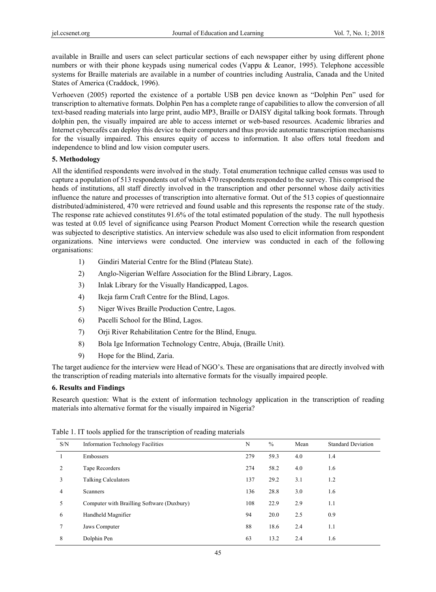available in Braille and users can select particular sections of each newspaper either by using different phone numbers or with their phone keypads using numerical codes (Vappu & Leanor, 1995). Telephone accessible systems for Braille materials are available in a number of countries including Australia, Canada and the United States of America (Craddock, 1996).

Verhoeven (2005) reported the existence of a portable USB pen device known as "Dolphin Pen" used for transcription to alternative formats. Dolphin Pen has a complete range of capabilities to allow the conversion of all text-based reading materials into large print, audio MP3, Braille or DAISY digital talking book formats. Through dolphin pen, the visually impaired are able to access internet or web-based resources. Academic libraries and Internet cybercafés can deploy this device to their computers and thus provide automatic transcription mechanisms for the visually impaired. This ensures equity of access to information. It also offers total freedom and independence to blind and low vision computer users.

# **5. Methodology**

All the identified respondents were involved in the study. Total enumeration technique called census was used to capture a population of 513 respondents out of which 470 respondents responded to the survey. This comprised the heads of institutions, all staff directly involved in the transcription and other personnel whose daily activities influence the nature and processes of transcription into alternative format. Out of the 513 copies of questionnaire distributed/administered, 470 were retrieved and found usable and this represents the response rate of the study. The response rate achieved constitutes 91.6% of the total estimated population of the study. The null hypothesis was tested at 0.05 level of significance using Pearson Product Moment Correction while the research question was subjected to descriptive statistics. An interview schedule was also used to elicit information from respondent organizations. Nine interviews were conducted. One interview was conducted in each of the following organisations:

- 1) Gindiri Material Centre for the Blind (Plateau State).
- 2) Anglo-Nigerian Welfare Association for the Blind Library, Lagos.
- 3) Inlak Library for the Visually Handicapped, Lagos.
- 4) Ikeja farm Craft Centre for the Blind, Lagos.
- 5) Niger Wives Braille Production Centre, Lagos.
- 6) Pacelli School for the Blind, Lagos.
- 7) Orji River Rehabilitation Centre for the Blind, Enugu.
- 8) Bola Ige Information Technology Centre, Abuja, (Braille Unit).
- 9) Hope for the Blind, Zaria.

The target audience for the interview were Head of NGO's. These are organisations that are directly involved with the transcription of reading materials into alternative formats for the visually impaired people.

# **6. Results and Findings**

Research question: What is the extent of information technology application in the transcription of reading materials into alternative format for the visually impaired in Nigeria?

| S/N            | <b>Information Technology Facilities</b>   | N   | $\frac{0}{0}$ | Mean | <b>Standard Deviation</b> |
|----------------|--------------------------------------------|-----|---------------|------|---------------------------|
|                | Embossers                                  | 279 | 59.3          | 4.0  | 1.4                       |
| $\overline{c}$ | Tape Recorders                             | 274 | 58.2          | 4.0  | 1.6                       |
| 3              | <b>Talking Calculators</b>                 | 137 | 29.2          | 3.1  | 1.2                       |
| 4              | <b>Scanners</b>                            | 136 | 28.8          | 3.0  | 1.6                       |
| 5              | Computer with Brailling Software (Duxbury) | 108 | 22.9          | 2.9  | 1.1                       |
| 6              | Handheld Magnifier                         | 94  | 20.0          | 2.5  | 0.9                       |
| 7              | Jaws Computer                              | 88  | 18.6          | 2.4  | 1.1                       |
| 8              | Dolphin Pen                                | 63  | 13.2          | 2.4  | 1.6                       |

Table 1. IT tools applied for the transcription of reading materials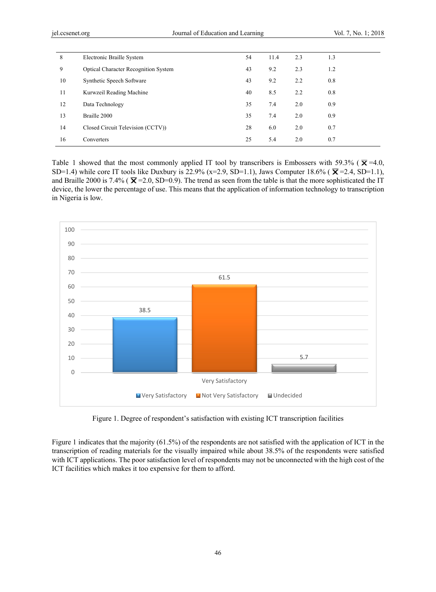| 8  | Electronic Braille System                   | 54 | 11.4 | 2.3 | 1.3 |
|----|---------------------------------------------|----|------|-----|-----|
| 9  | <b>Optical Character Recognition System</b> | 43 | 9.2  | 2.3 | 1.2 |
| 10 | Synthetic Speech Software                   | 43 | 9.2  | 2.2 | 0.8 |
| 11 | Kurwzeil Reading Machine                    | 40 | 8.5  | 2.2 | 0.8 |
| 12 | Data Technology                             | 35 | 7.4  | 2.0 | 0.9 |
| 13 | Braille 2000                                | 35 | 7.4  | 2.0 | 0.9 |
| 14 | Closed Circuit Television (CCTV))           | 28 | 6.0  | 2.0 | 0.7 |
| 16 | Converters                                  | 25 | 5.4  | 2.0 | 0.7 |

Table 1 showed that the most commonly applied IT tool by transcribers is Embossers with 59.3% ( $\overline{\mathbf{X}}$ =4.0, SD=1.4) while core IT tools like Duxbury is 22.9% (x=2.9, SD=1.1), Jaws Computer 18.6% ( $\bar{\mathbf{X}}$ =2.4, SD=1.1), and Braille 2000 is 7.4% ( $\overline{X}$  = 2.0, SD=0.9). The trend as seen from the table is that the more sophisticated the IT device, the lower the percentage of use. This means that the application of information technology to transcription in Nigeria is low.



Figure 1. Degree of respondent's satisfaction with existing ICT transcription facilities

Figure 1 indicates that the majority (61.5%) of the respondents are not satisfied with the application of ICT in the transcription of reading materials for the visually impaired while about 38.5% of the respondents were satisfied with ICT applications. The poor satisfaction level of respondents may not be unconnected with the high cost of the ICT facilities which makes it too expensive for them to afford.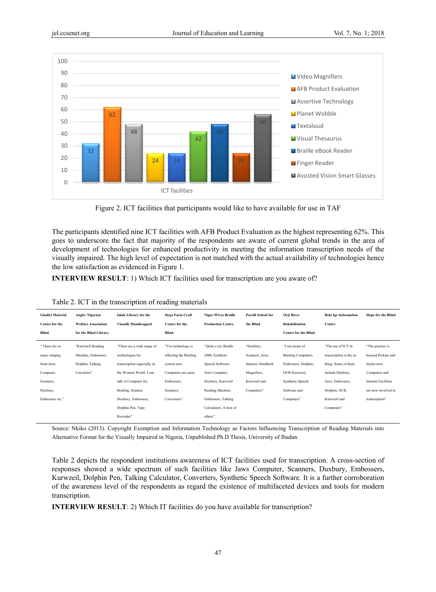

Figure 2. ICT facilities that participants would like to have available for use in TAF

The participants identified nine ICT facilities with AFB Product Evaluation as the highest representing 62%. This goes to underscore the fact that majority of the respondents are aware of current global trends in the area of development of technologies for enhanced productivity in meeting the information transcription needs of the visually impaired. The high level of expectation is not matched with the actual availability of technologies hence the low satisfaction as evidenced in Figure 1.

**INTERVIEW RESULT**: 1) Which ICT facilities used for transcription are you aware of?

|  | Table 2. ICT in the transcription of reading materials |  |  |
|--|--------------------------------------------------------|--|--|
|  |                                                        |  |  |

| <b>Gindiri Material</b> | Anglo-Nigerian             | <b>Inlak Library for the</b> | Ikeja Farm Craft       | <b>Niger-Wives Braille</b> | Pacelli School for | Orji River                  | <b>Bola Ige Information</b> | <b>Hope for the Blind</b>  |
|-------------------------|----------------------------|------------------------------|------------------------|----------------------------|--------------------|-----------------------------|-----------------------------|----------------------------|
| Centre for the          | <b>Welfare Association</b> | <b>Visually Handicapped</b>  | Centre for the         | <b>Production Centre</b>   | the Blind          | Rehabilitation              | Centre                      |                            |
| Blind                   | for the Blind Library      |                              | Blind                  |                            |                    | <b>Centre for the Blind</b> |                             |                            |
| "There are so           | "Kurwzeil Reading          | "There are a wide range of   | "Yes technology is     | "Quite a lot, Braille      | "Duxbury,          | "I am aware of              | "The use of ICT In          | "The practice is           |
| many ranging            | Machine, Embossers,        | technologies for             | affecting the Brailing | 2000, Synthetic            | Scanners, Jaws,    | Brailing Computers,         | transcription is the in-    | beyond Perkins and         |
| from Jaws               | Dolphin, Talking           | transcription especially in  | system now.            | Speech Software,           | Internet, Handheld | Embossers, Dolphin,         | thing. Some of them         | Stylus now.                |
| Computer,               | Calculator"                | the Western World. I can     | Computers are used,    | Jaws Computer,             | Magnifiers,        | OCR Kurwzeil,               | include Duxbury,            | Computers and              |
| Scanners,               |                            | talk of Computer for         | Embossers,             | Duxbury, Kurwzeil          | Kurwzeil and       | Synthetic Speech            | Jaws, Embossers,            | <b>Internet Facilities</b> |
| Duxbury,                |                            | Brailing, Scanner            | Scanners,              | Reading Machine,           | Computers"         | Software and                | Dolphin, OCR,               | are now involved in        |
| Embossers etc."         |                            | Duxbury, Embossers,          | Converters".           | Embossers, Talking         |                    | Computers"                  | Kurwzeil and                | transcription"             |
|                         |                            | Dolphin Pen, Tape            |                        | Calculators, A host of     |                    |                             | Computers"                  |                            |
|                         |                            | Recorder"                    |                        | others"                    |                    |                             |                             |                            |

Source: Nkiko (2013). Copyright Exemption and Information Technology as Factors Influencing Transcription of Reading Materials into Alternative Format for the Visually Impaired in Nigeria, Unpublished Ph.D Thesis, University of Ibadan.

Table 2 depicts the respondent institutions awareness of ICT facilities used for transcription. A cross-section of responses showed a wide spectrum of such facilities like Jaws Computer, Scanners, Duxbury, Embossers, Kurwzeil, Dolphin Pen, Talking Calculator, Converters, Synthetic Speech Software. It is a further corroboration of the awareness level of the respondents as regard the existence of multifaceted devices and tools for modern transcription.

**INTERVIEW RESULT**: 2) Which IT facilities do you have available for transcription?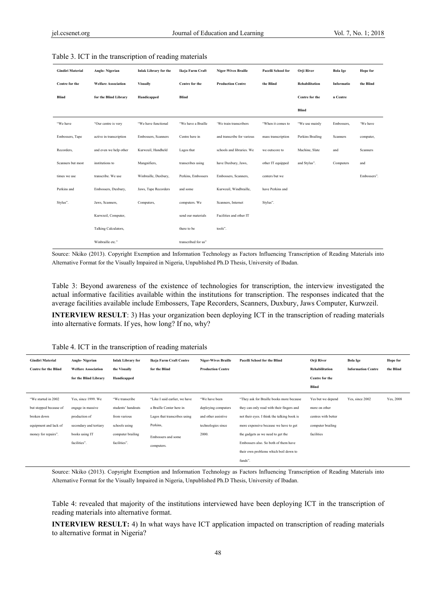| <b>Gindiri Material</b> | Anglo-Nigerian             | <b>Inlak Library for the</b> | Ikeja Farm Craft    | <b>Niger-Wives Braille</b> | Pacelli School for | Orji River       | <b>Bola Ige</b> | Hope for    |
|-------------------------|----------------------------|------------------------------|---------------------|----------------------------|--------------------|------------------|-----------------|-------------|
| Centre for the          | <b>Welfare Association</b> | <b>Visually</b>              | Centre for the      | <b>Production Centre</b>   | the Blind          | Rehabilitation   | Informatio      | the Blind   |
| Blind                   | for the Blind Library      | Handicapped                  | <b>Blind</b>        |                            |                    | Centre for the   | n Centre        |             |
|                         |                            |                              |                     |                            |                    | Blind            |                 |             |
| "We have                | "Our centre is very        | "We have functional          | "We have a Braille  | 'We train transcribers     | "When it comes to  | "We use mainly   | Embossers,      | 'We have    |
| Embossers, Tape         | active in transcription    | Embossers, Scanners          | Centre here in      | and transcribe for various | mass transcription | Perkins Brailing | Scanners        | computer,   |
| Recorders,              | and even we help other     | Kurwzeil, Handheld           | Lagos that          | schools and libraries. We  | we outscore to     | Machine, Slate   | and             | Scanners    |
| Scanners but most       | institutions to            | Mangnifiers,                 | transcribes using   | have Duxbury, Jaws,        | other IT equipped  | and Stylus".     | Computers       | and         |
| times we use            | transcribe. We use         | Winbraille, Duxbury,         | Perkins, Embossers  | Embossers, Scanners,       | centers but we     |                  |                 | Embossers". |
| Perkins and             | Embossers, Duxbury,        | Jaws, Tape Recorders         | and some            | Kurwzeil, Windbraille,     | have Perkins and   |                  |                 |             |
| Stylus".                | Jaws, Scanners,            | Computers,                   | computers. We       | Scanners, Internet         | Stylus".           |                  |                 |             |
|                         | Kurwzeil, Computer,        |                              | send our materials  | Facilities and other IT    |                    |                  |                 |             |
|                         | Talking Calculators,       |                              | there to be         | tools".                    |                    |                  |                 |             |
|                         | Winbraille etc."           |                              | transcribed for us" |                            |                    |                  |                 |             |

#### Table 3. ICT in the transcription of reading materials

Source: Nkiko (2013). Copyright Exemption and Information Technology as Factors Influencing Transcription of Reading Materials into Alternative Format for the Visually Impaired in Nigeria, Unpublished Ph.D Thesis, University of Ibadan.

Table 3: Beyond awareness of the existence of technologies for transcription, the interview investigated the actual informative facilities available within the institutions for transcription. The responses indicated that the average facilities available include Embossers, Tape Recorders, Scanners, Duxbury, Jaws Computer, Kurwzeil.

**INTERVIEW RESULT**: 3) Has your organization been deploying ICT in the transcription of reading materials into alternative formats. If yes, how long? If no, why?

| Table 4. ICT in the transcription of reading materials |  |  |  |  |
|--------------------------------------------------------|--|--|--|--|
|                                                        |  |  |  |  |

| <b>Gindiri Material</b>     | Anglo-Nigerian             | <b>Inlak Library for</b> | Ikeja Farm Craft Centre       | <b>Niger-Wives Braille</b> | <b>Pacelli School for the Blind</b>         | Orji River          | <b>Bola Ige</b>           | Hope for  |
|-----------------------------|----------------------------|--------------------------|-------------------------------|----------------------------|---------------------------------------------|---------------------|---------------------------|-----------|
| <b>Centre for the Blind</b> | <b>Welfare Association</b> | the Visually             | for the Blind                 | <b>Production Centre</b>   |                                             | Rehabilitation      | <b>Information Centre</b> | the Blind |
|                             | for the Blind Library      | Handicapped              |                               |                            |                                             | Centre for the      |                           |           |
|                             |                            |                          |                               |                            |                                             | Blind               |                           |           |
| "We started in 2002         | Yes, since 1999. We        | "We transcribe           | "Like I said earlier, we have | "We have been              | "They ask for Braille books more because    | Yes but we depend   | Yes, since 2002           | Yes, 2008 |
| but stopped because of      | engage in massive          | students' handouts       | a Braille Center here in      | deploying computers        | they can only read with their fingers and   | more on other       |                           |           |
| broken down                 | production of              | from various             | Lagos that transcribes using  | and other assistive        | not their eyes. I think the talking book is | centres with better |                           |           |
| equipment and lack of       | secondary and tertiary     | schools using            | Perkins,                      | technologies since         | more expensive because we have to get       | computer brailing   |                           |           |
| money for repairs".         | books using IT             | computer brailing        | Embossers and some            | 2000.                      | the gadgets as we need to get the           | facilities          |                           |           |
|                             | facilities".               | facilities".             | computers.                    |                            | Embossers also. So both of them have        |                     |                           |           |
|                             |                            |                          |                               |                            | their own problems which boil down to       |                     |                           |           |
|                             |                            |                          |                               |                            | funds".                                     |                     |                           |           |

Source: Nkiko (2013). Copyright Exemption and Information Technology as Factors Influencing Transcription of Reading Materials into Alternative Format for the Visually Impaired in Nigeria, Unpublished Ph.D Thesis, University of Ibadan.

Table 4: revealed that majority of the institutions interviewed have been deploying ICT in the transcription of reading materials into alternative format.

**INTERVIEW RESULT:** 4) In what ways have ICT application impacted on transcription of reading materials to alternative format in Nigeria?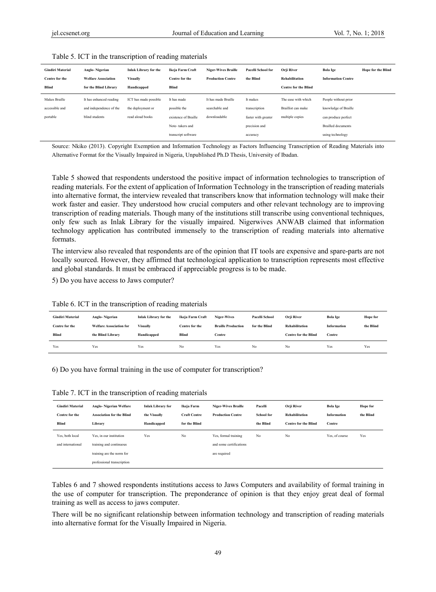| <b>Gindiri Material</b><br>Centre for the | Anglo-Nigerian<br><b>Welfare Association</b> | <b>Inlak Library for the</b><br><b>Visually</b> | Ikeia Farm Craft<br>Centre for the | <b>Niger-Wives Braille</b><br><b>Production Centre</b> | <b>Pacelli School for</b><br>the Blind | Orii River<br>Rehabilitation | <b>Bola Ige</b><br><b>Information Centre</b> | <b>Hope for the Blind</b> |
|-------------------------------------------|----------------------------------------------|-------------------------------------------------|------------------------------------|--------------------------------------------------------|----------------------------------------|------------------------------|----------------------------------------------|---------------------------|
| Blind                                     | for the Blind Library                        | Handicapped                                     | Blind                              |                                                        |                                        | <b>Centre for the Blind</b>  |                                              |                           |
| Makes Braille                             | It has enhanced reading                      | ICT has made possible                           | It has made                        | It has made Braille                                    | It makes                               | The ease with which          | People without prior                         |                           |
| accessible and                            | and independence of the                      | the deployment or                               | possible the                       | searchable and                                         | transcription                          | Braillist can make           | knowledge of Braille                         |                           |
| portable                                  | blind students                               | read aloud books                                | existence of Braille               | downloadable                                           | faster with greater                    | multiple copies              | can produce perfect                          |                           |
|                                           |                                              |                                                 | Note-takers and                    |                                                        | precision and                          |                              | <b>Brailled</b> documents                    |                           |
|                                           |                                              |                                                 | transcript software                |                                                        | accuracy                               |                              | using technology                             |                           |

#### Table 5. ICT in the transcription of reading materials

Source: Nkiko (2013). Copyright Exemption and Information Technology as Factors Influencing Transcription of Reading Materials into Alternative Format for the Visually Impaired in Nigeria, Unpublished Ph.D Thesis, University of Ibadan.

Table 5 showed that respondents understood the positive impact of information technologies to transcription of reading materials. For the extent of application of Information Technology in the transcription of reading materials into alternative format, the interview revealed that transcribers know that information technology will make their work faster and easier. They understood how crucial computers and other relevant technology are to improving transcription of reading materials. Though many of the institutions still transcribe using conventional techniques, only few such as Inlak Library for the visually impaired. Nigerwives ANWAB claimed that information technology application has contributed immensely to the transcription of reading materials into alternative formats.

The interview also revealed that respondents are of the opinion that IT tools are expensive and spare-parts are not locally sourced. However, they affirmed that technological application to transcription represents most effective and global standards. It must be embraced if appreciable progress is to be made.

5) Do you have access to Jaws computer?

Table 6. ICT in the transcription of reading materials

| <b>Gindiri Material</b> | Anglo-Nigerian                 | <b>Inlak Library for the</b> | Ikeia Farm Craft | Niger-Wives               | <b>Pacelli School</b> | <b>Orii River</b>           | <b>Bola Ige</b> | Hope for  |
|-------------------------|--------------------------------|------------------------------|------------------|---------------------------|-----------------------|-----------------------------|-----------------|-----------|
| Centre for the          | <b>Welfare Association for</b> | <b>Visually</b>              | Centre for the   | <b>Braille Production</b> | for the Blind         | <b>Rehabilitation</b>       | Information     | the Blind |
|                         |                                |                              |                  |                           |                       |                             |                 |           |
| Blind                   | the Blind Library              | Handicapped                  | Blind            | Centre                    |                       | <b>Centre for the Blind</b> | Centre          |           |

6) Do you have formal training in the use of computer for transcription?

Table 7. ICT in the transcription of reading materials

| <b>Gindiri Material</b><br>Centre for the<br>Blind | Anglo-Nigerian Welfare<br><b>Association for the Blind</b><br>Library              | <b>Inlak Library for</b><br>the Visually<br>Handicapped | Ikeja Farm<br><b>Craft Centre</b><br>for the Blind | <b>Niger-Wives Braille</b><br><b>Production Centre</b> | Pacelli<br><b>School</b> for<br>the Blind | Orji River<br><b>Rehabilitation</b><br><b>Centre for the Blind</b> | <b>Bola Ige</b><br>Information<br>Centre | Hope for<br>the Blind |
|----------------------------------------------------|------------------------------------------------------------------------------------|---------------------------------------------------------|----------------------------------------------------|--------------------------------------------------------|-------------------------------------------|--------------------------------------------------------------------|------------------------------------------|-----------------------|
| Yes, both local<br>and international               | Yes, in our institution                                                            | Yes                                                     | No                                                 | Yes, formal training<br>and some certifications        | No                                        | No                                                                 | Yes, of course                           | Yes                   |
|                                                    | training and continuous<br>training are the norm for<br>professional transcription |                                                         |                                                    | are required                                           |                                           |                                                                    |                                          |                       |

Tables 6 and 7 showed respondents institutions access to Jaws Computers and availability of formal training in the use of computer for transcription. The preponderance of opinion is that they enjoy great deal of formal training as well as access to jaws computer.

There will be no significant relationship between information technology and transcription of reading materials into alternative format for the Visually Impaired in Nigeria.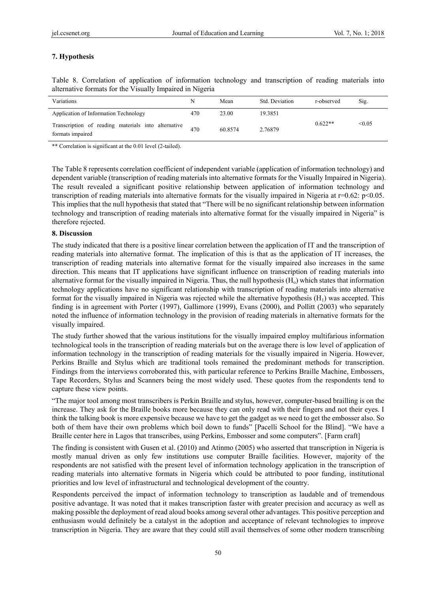# **7. Hypothesis**

Table 8. Correlation of application of information technology and transcription of reading materials into alternative formats for the Visually Impaired in Nigeria

| Variations                                                              | N   | Mean    | Std. Deviation | r-observed | Sig.   |
|-------------------------------------------------------------------------|-----|---------|----------------|------------|--------|
| Application of Information Technology                                   | 470 | 23.00   | 19.3851        |            |        |
| Transcription of reading materials into alternative<br>formats impaired | 470 | 60.8574 | 2.76879        | $0.622**$  | < 0.05 |

\*\* Correlation is significant at the 0.01 level (2-tailed).

The Table 8 represents correlation coefficient of independent variable (application of information technology) and dependent variable (transcription of reading materials into alternative formats for the Visually Impaired in Nigeria). The result revealed a significant positive relationship between application of information technology and transcription of reading materials into alternative formats for the visually impaired in Nigeria at  $r=0.62$ :  $p<0.05$ . This implies that the null hypothesis that stated that "There will be no significant relationship between information technology and transcription of reading materials into alternative format for the visually impaired in Nigeria" is therefore rejected.

## **8. Discussion**

The study indicated that there is a positive linear correlation between the application of IT and the transcription of reading materials into alternative format. The implication of this is that as the application of IT increases, the transcription of reading materials into alternative format for the visually impaired also increases in the same direction. This means that IT applications have significant influence on transcription of reading materials into alternative format for the visually impaired in Nigeria. Thus, the null hypothesis  $(H_0)$  which states that information technology applications have no significant relationship with transcription of reading materials into alternative format for the visually impaired in Nigeria was rejected while the alternative hypothesis  $(H_1)$  was accepted. This finding is in agreement with Porter (1997), Gallimore (1999), Evans (2000), and Pollitt (2003) who separately noted the influence of information technology in the provision of reading materials in alternative formats for the visually impaired.

The study further showed that the various institutions for the visually impaired employ multifarious information technological tools in the transcription of reading materials but on the average there is low level of application of information technology in the transcription of reading materials for the visually impaired in Nigeria. However, Perkins Braille and Stylus which are traditional tools remained the predominant methods for transcription. Findings from the interviews corroborated this, with particular reference to Perkins Braille Machine, Embossers, Tape Recorders, Stylus and Scanners being the most widely used. These quotes from the respondents tend to capture these view points.

"The major tool among most transcribers is Perkin Braille and stylus, however, computer-based brailling is on the increase. They ask for the Braille books more because they can only read with their fingers and not their eyes. I think the talking book is more expensive because we have to get the gadget as we need to get the embosser also. So both of them have their own problems which boil down to funds" [Pacelli School for the Blind]. "We have a Braille center here in Lagos that transcribes, using Perkins, Embosser and some computers". [Farm craft]

The finding is consistent with Gusen et al. (2010) and Atinmo (2005) who asserted that transcription in Nigeria is mostly manual driven as only few institutions use computer Braille facilities. However, majority of the respondents are not satisfied with the present level of information technology application in the transcription of reading materials into alternative formats in Nigeria which could be attributed to poor funding, institutional priorities and low level of infrastructural and technological development of the country.

Respondents perceived the impact of information technology to transcription as laudable and of tremendous positive advantage. It was noted that it makes transcription faster with greater precision and accuracy as well as making possible the deployment of read aloud books among several other advantages. This positive perception and enthusiasm would definitely be a catalyst in the adoption and acceptance of relevant technologies to improve transcription in Nigeria. They are aware that they could still avail themselves of some other modern transcribing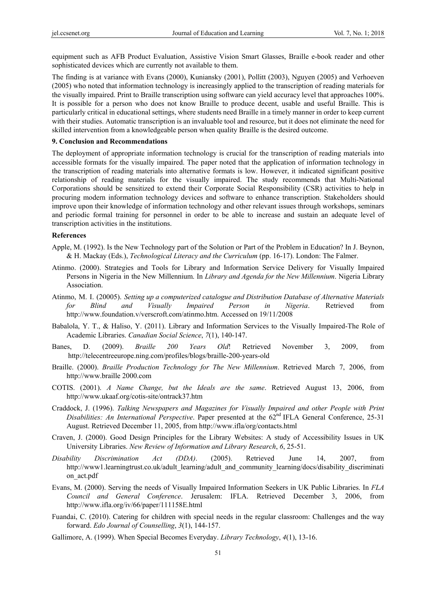equipment such as AFB Product Evaluation, Assistive Vision Smart Glasses, Braille e-book reader and other sophisticated devices which are currently not available to them.

The finding is at variance with Evans (2000), Kuniansky (2001), Pollitt (2003), Nguyen (2005) and Verhoeven (2005) who noted that information technology is increasingly applied to the transcription of reading materials for the visually impaired. Print to Braille transcription using software can yield accuracy level that approaches 100%. It is possible for a person who does not know Braille to produce decent, usable and useful Braille. This is particularly critical in educational settings, where students need Braille in a timely manner in order to keep current with their studies. Automatic transcription is an invaluable tool and resource, but it does not eliminate the need for skilled intervention from a knowledgeable person when quality Braille is the desired outcome.

#### **9. Conclusion and Recommendations**

The deployment of appropriate information technology is crucial for the transcription of reading materials into accessible formats for the visually impaired. The paper noted that the application of information technology in the transcription of reading materials into alternative formats is low. However, it indicated significant positive relationship of reading materials for the visually impaired. The study recommends that Multi-National Corporations should be sensitized to extend their Corporate Social Responsibility (CSR) activities to help in procuring modern information technology devices and software to enhance transcription. Stakeholders should improve upon their knowledge of information technology and other relevant issues through workshops, seminars and periodic formal training for personnel in order to be able to increase and sustain an adequate level of transcription activities in the institutions.

#### **References**

- Apple, M. (1992). Is the New Technology part of the Solution or Part of the Problem in Education? In J. Beynon, & H. Mackay (Eds.), *Technological Literacy and the Curriculum* (pp. 16-17). London: The Falmer.
- Atinmo. (2000). Strategies and Tools for Library and Information Service Delivery for Visually Impaired Persons in Nigeria in the New Millennium. In *Library and Agenda for the New Millennium*. Nigeria Library Association.
- Atinmo, M. I. (20005). *Setting up a computerized catalogue and Distribution Database of Alternative Materials for Blind and Visually Impaired Person in Nigeria*. Retrieved from http://www.foundation.v/verscroft.com/atinmo.htm. Accessed on 19/11/2008
- Babalola, Y. T., & Haliso, Y. (2011). Library and Information Services to the Visually Impaired-The Role of Academic Libraries. *Canadian Social Science*, *7*(1), 140-147.
- Banes, D. (2009). *Braille 200 Years Old*! Retrieved November 3, 2009, from http://telecentreeurope.ning.com/profiles/blogs/braille-200-years-old
- Braille. (2000). *Braille Production Technology for The New Millennium*. Retrieved March 7, 2006, from http://www.braille 2000.com
- COTIS. (2001). *A Name Change, but the Ideals are the same*. Retrieved August 13, 2006, from http://www.ukaaf.org/cotis-site/ontrack37.htm
- Craddock, J. (1996). *Talking Newspapers and Magazines for Visually Impaired and other People with Print Disabilities: An International Perspective*. Paper presented at the 62<sup>nd</sup> IFLA General Conference, 25-31 August. Retrieved December 11, 2005, from http://www.ifla/org/contacts.html
- Craven, J. (2000). Good Design Principles for the Library Websites: A study of Accessibility Issues in UK University Libraries. *New Review of Information and Library Research*, *6*, 25-51.
- *Disability Discrimination Act (DDA)*. (2005). Retrieved June 14, 2007, from http://www1.learningtrust.co.uk/adult\_learning/adult\_and\_community\_learning/docs/disability\_discriminati on\_act.pdf
- Evans, M. (2000). Serving the needs of Visually Impaired Information Seekers in UK Public Libraries. In *FLA Council and General Conference*. Jerusalem: IFLA. Retrieved December 3, 2006, from http://www.ifla.org/iv/66/paper/111158E.html
- Fuandai, C. (2010). Catering for children with special needs in the regular classroom: Challenges and the way forward. *Edo Journal of Counselling*, *3*(1), 144-157.
- Gallimore, A. (1999). When Special Becomes Everyday. *Library Technology*, *4*(1), 13-16.